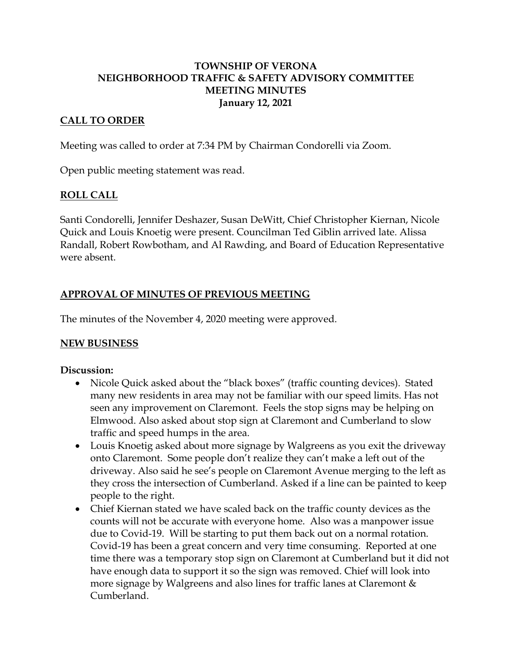## **TOWNSHIP OF VERONA NEIGHBORHOOD TRAFFIC & SAFETY ADVISORY COMMITTEE MEETING MINUTES January 12, 2021**

## **CALL TO ORDER**

Meeting was called to order at 7:34 PM by Chairman Condorelli via Zoom.

Open public meeting statement was read.

#### **ROLL CALL**

Santi Condorelli, Jennifer Deshazer, Susan DeWitt, Chief Christopher Kiernan, Nicole Quick and Louis Knoetig were present. Councilman Ted Giblin arrived late. Alissa Randall, Robert Rowbotham, and Al Rawding, and Board of Education Representative were absent.

## **APPROVAL OF MINUTES OF PREVIOUS MEETING**

The minutes of the November 4, 2020 meeting were approved.

#### **NEW BUSINESS**

#### **Discussion:**

- Nicole Quick asked about the "black boxes" (traffic counting devices). Stated many new residents in area may not be familiar with our speed limits. Has not seen any improvement on Claremont. Feels the stop signs may be helping on Elmwood. Also asked about stop sign at Claremont and Cumberland to slow traffic and speed humps in the area.
- Louis Knoetig asked about more signage by Walgreens as you exit the driveway onto Claremont. Some people don't realize they can't make a left out of the driveway. Also said he see's people on Claremont Avenue merging to the left as they cross the intersection of Cumberland. Asked if a line can be painted to keep people to the right.
- Chief Kiernan stated we have scaled back on the traffic county devices as the counts will not be accurate with everyone home. Also was a manpower issue due to Covid-19. Will be starting to put them back out on a normal rotation. Covid-19 has been a great concern and very time consuming. Reported at one time there was a temporary stop sign on Claremont at Cumberland but it did not have enough data to support it so the sign was removed. Chief will look into more signage by Walgreens and also lines for traffic lanes at Claremont & Cumberland.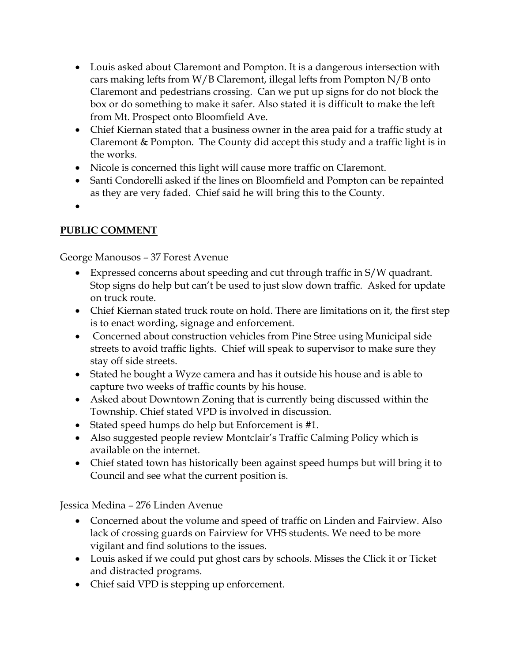- Louis asked about Claremont and Pompton. It is a dangerous intersection with cars making lefts from W/B Claremont, illegal lefts from Pompton N/B onto Claremont and pedestrians crossing. Can we put up signs for do not block the box or do something to make it safer. Also stated it is difficult to make the left from Mt. Prospect onto Bloomfield Ave.
- Chief Kiernan stated that a business owner in the area paid for a traffic study at Claremont & Pompton. The County did accept this study and a traffic light is in the works.
- Nicole is concerned this light will cause more traffic on Claremont.
- Santi Condorelli asked if the lines on Bloomfield and Pompton can be repainted as they are very faded. Chief said he will bring this to the County.
- •

# **PUBLIC COMMENT**

George Manousos – 37 Forest Avenue

- Expressed concerns about speeding and cut through traffic in S/W quadrant. Stop signs do help but can't be used to just slow down traffic. Asked for update on truck route.
- Chief Kiernan stated truck route on hold. There are limitations on it, the first step is to enact wording, signage and enforcement.
- Concerned about construction vehicles from Pine Stree using Municipal side streets to avoid traffic lights. Chief will speak to supervisor to make sure they stay off side streets.
- Stated he bought a Wyze camera and has it outside his house and is able to capture two weeks of traffic counts by his house.
- Asked about Downtown Zoning that is currently being discussed within the Township. Chief stated VPD is involved in discussion.
- Stated speed humps do help but Enforcement is #1.
- Also suggested people review Montclair's Traffic Calming Policy which is available on the internet.
- Chief stated town has historically been against speed humps but will bring it to Council and see what the current position is.

Jessica Medina – 276 Linden Avenue

- Concerned about the volume and speed of traffic on Linden and Fairview. Also lack of crossing guards on Fairview for VHS students. We need to be more vigilant and find solutions to the issues.
- Louis asked if we could put ghost cars by schools. Misses the Click it or Ticket and distracted programs.
- Chief said VPD is stepping up enforcement.